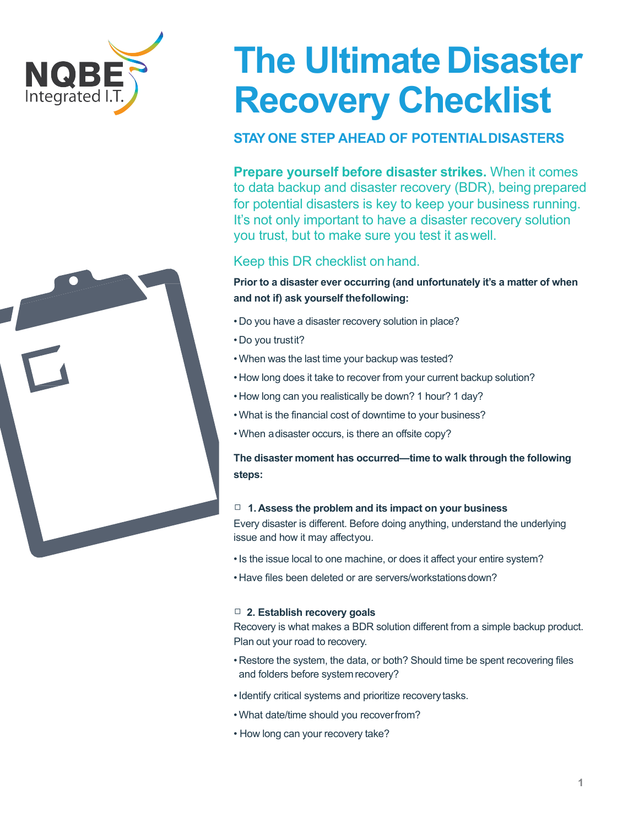



# **The Ultimate Disaster Recovery Checklist**

## **STAY ONE STEP AHEAD OF POTENTIALDISASTERS**

**Prepare yourself before disaster strikes.** When it comes to data backup and disaster recovery (BDR), being prepared for potential disasters is key to keep your business running. It's not only important to have a disaster recovery solution you trust, but to make sure you test it aswell.

## Keep this DR checklist on hand.

### **Prior to a disaster ever occurring (and unfortunately it's a matter of when and not if) ask yourself thefollowing:**

- Do you have a disaster recovery solution in place?
- Do you trustit?
- •When was the last time your backup was tested?
- How long does it take to recover from your current backup solution?
- How long can you realistically be down? 1 hour? 1 day?
- •What is the financial cost of downtime to your business?
- •When adisaster occurs, is there an offsite copy?

**The disaster moment has occurred—time to walk through the following steps:**

#### □ **1. Assess the problem and its impact on your business**

Every disaster is different. Before doing anything, understand the underlying issue and how it may affectyou.

- •Is the issue local to one machine, or does it affect your entire system?
- Have files been deleted or are servers/workstations down?

#### □ **2. Establish recovery goals**

Recovery is what makes a BDR solution different from a simple backup product. Plan out your road to recovery.

- Restore the system, the data, or both? Should time be spent recovering files and folders before system recovery?
- •Identify critical systems and prioritize recoverytasks.
- •What date/time should you recoverfrom?
- How long can your recovery take?